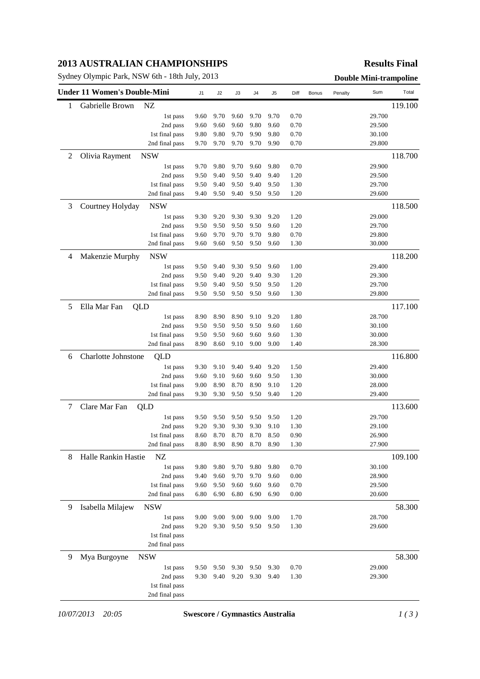#### **2013 AUSTRALIAN CHAMPIONSHIPS**

Sydney Olympic Park, NSW 6th - 18th July, 2013 **Double Mini-trampoline**

### **Results Final**

| 1 | Gabrielle Brown<br>NZ             |      |      |      |      |      |      |  |        |         |
|---|-----------------------------------|------|------|------|------|------|------|--|--------|---------|
|   |                                   |      |      |      |      |      |      |  |        | 119.100 |
|   | 1st pass                          | 9.60 | 9.70 | 9.60 | 9.70 | 9.70 | 0.70 |  | 29.700 |         |
|   | 2nd pass                          | 9.60 | 9.60 | 9.60 | 9.80 | 9.60 | 0.70 |  | 29.500 |         |
|   | 1st final pass                    | 9.80 | 9.80 | 9.70 | 9.90 | 9.80 | 0.70 |  | 30.100 |         |
|   | 2nd final pass                    | 9.70 | 9.70 | 9.70 | 9.70 | 9.90 | 0.70 |  | 29.800 |         |
| 2 | <b>NSW</b><br>Olivia Rayment      |      |      |      |      |      |      |  |        | 118.700 |
|   | 1st pass                          | 9.70 | 9.80 | 9.70 | 9.60 | 9.80 | 0.70 |  | 29.900 |         |
|   | 2nd pass                          | 9.50 | 9.40 | 9.50 | 9.40 | 9.40 | 1.20 |  | 29.500 |         |
|   | 1st final pass                    | 9.50 | 9.40 | 9.50 | 9.40 | 9.50 | 1.30 |  | 29.700 |         |
|   | 2nd final pass                    | 9.40 | 9.50 | 9.40 | 9.50 | 9.50 | 1.20 |  | 29.600 |         |
| 3 | Courtney Holyday<br><b>NSW</b>    |      |      |      |      |      |      |  |        | 118.500 |
|   | 1st pass                          | 9.30 | 9.20 | 9.30 | 9.30 | 9.20 | 1.20 |  | 29.000 |         |
|   | 2nd pass                          | 9.50 | 9.50 | 9.50 | 9.50 | 9.60 | 1.20 |  | 29.700 |         |
|   | 1st final pass                    | 9.60 | 9.70 | 9.70 | 9.70 | 9.80 | 0.70 |  | 29.800 |         |
|   | 2nd final pass                    | 9.60 | 9.60 | 9.50 | 9.50 | 9.60 | 1.30 |  | 30.000 |         |
| 4 | Makenzie Murphy<br><b>NSW</b>     |      |      |      |      |      |      |  |        | 118.200 |
|   | 1st pass                          | 9.50 | 9.40 | 9.30 | 9.50 | 9.60 | 1.00 |  | 29.400 |         |
|   | 2nd pass                          | 9.50 | 9.40 | 9.20 | 9.40 | 9.30 | 1.20 |  | 29.300 |         |
|   | 1st final pass                    | 9.50 | 9.40 | 9.50 | 9.50 | 9.50 | 1.20 |  | 29.700 |         |
|   | 2nd final pass                    | 9.50 | 9.50 | 9.50 | 9.50 | 9.60 | 1.30 |  | 29.800 |         |
| 5 | Ella Mar Fan<br>QLD               |      |      |      |      |      |      |  |        | 117.100 |
|   | 1st pass                          | 8.90 | 8.90 | 8.90 | 9.10 | 9.20 | 1.80 |  | 28.700 |         |
|   | 2nd pass                          | 9.50 | 9.50 | 9.50 | 9.50 | 9.60 | 1.60 |  | 30.100 |         |
|   | 1st final pass                    | 9.50 | 9.50 | 9.60 | 9.60 | 9.60 | 1.30 |  | 30.000 |         |
|   | 2nd final pass                    | 8.90 | 8.60 | 9.10 | 9.00 | 9.00 | 1.40 |  | 28.300 |         |
| 6 | Charlotte Johnstone<br><b>QLD</b> |      |      |      |      |      |      |  |        | 116.800 |
|   | 1st pass                          | 9.30 | 9.10 | 9.40 | 9.40 | 9.20 | 1.50 |  | 29.400 |         |
|   | 2nd pass                          | 9.60 | 9.10 | 9.60 | 9.60 | 9.50 | 1.30 |  | 30.000 |         |
|   | 1st final pass                    | 9.00 | 8.90 | 8.70 | 8.90 | 9.10 | 1.20 |  | 28.000 |         |
|   | 2nd final pass                    | 9.30 | 9.30 | 9.50 | 9.50 | 9.40 | 1.20 |  | 29.400 |         |
| 7 | Clare Mar Fan<br>QLD              |      |      |      |      |      |      |  |        | 113.600 |
|   | 1st pass                          | 9.50 | 9.50 | 9.50 | 9.50 | 9.50 | 1.20 |  | 29.700 |         |
|   | 2nd pass                          | 9.20 | 9.30 | 9.30 | 9.30 | 9.10 | 1.30 |  | 29.100 |         |
|   | 1st final pass                    | 8.60 | 8.70 | 8.70 | 8.70 | 8.50 | 0.90 |  | 26.900 |         |
|   | 2nd final pass                    | 8.80 | 8.90 | 8.90 | 8.70 | 8.90 | 1.30 |  | 27.900 |         |
| 8 | NZ<br>Halle Rankin Hastie         |      |      |      |      |      |      |  |        | 109.100 |
|   | 1st pass                          | 9.80 | 9.80 | 9.70 | 9.80 | 9.80 | 0.70 |  | 30.100 |         |
|   | 2nd pass                          | 9.40 | 9.60 | 9.70 | 9.70 | 9.60 | 0.00 |  | 28.900 |         |
|   | 1st final pass                    | 9.60 | 9.50 | 9.60 | 9.60 | 9.60 | 0.70 |  | 29.500 |         |
|   | 2nd final pass                    | 6.80 | 6.90 | 6.80 | 6.90 | 6.90 | 0.00 |  | 20.600 |         |
| 9 | Isabella Milajew<br><b>NSW</b>    |      |      |      |      |      |      |  |        | 58.300  |
|   | 1st pass                          | 9.00 | 9.00 | 9.00 | 9.00 | 9.00 | 1.70 |  | 28.700 |         |
|   | 2nd pass                          | 9.20 | 9.30 | 9.50 | 9.50 | 9.50 | 1.30 |  | 29.600 |         |
|   | 1st final pass                    |      |      |      |      |      |      |  |        |         |
|   | 2nd final pass                    |      |      |      |      |      |      |  |        |         |
| 9 | Mya Burgoyne<br><b>NSW</b>        |      |      |      |      |      |      |  |        | 58.300  |
|   | 1st pass                          | 9.50 | 9.50 | 9.30 | 9.50 | 9.30 | 0.70 |  | 29.000 |         |
|   | 2nd pass                          | 9.30 | 9.40 | 9.20 | 9.30 | 9.40 | 1.30 |  | 29.300 |         |
|   | 1st final pass                    |      |      |      |      |      |      |  |        |         |
|   | 2nd final pass                    |      |      |      |      |      |      |  |        |         |

*10/07/2013 20:05* **Swescore / Gymnastics Australia** *1 ( 3 )*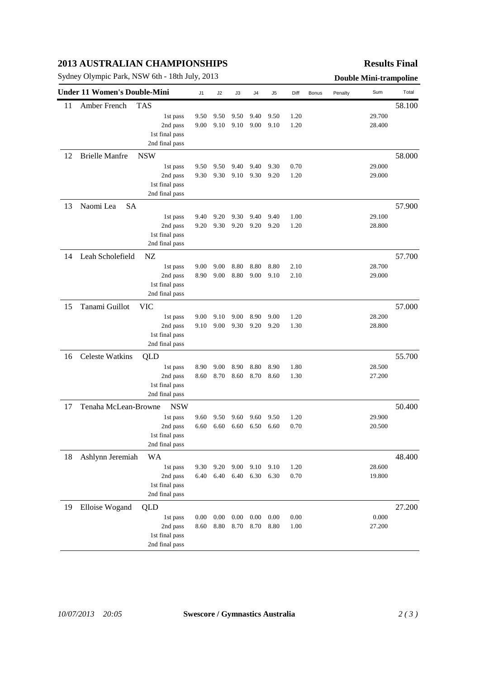## **2013 AUSTRALIAN CHAMPIONSHIPS**

Sydney Olympic Park, NSW 6th - 18th July, 2013 **Double Mini-trampoline** 

### **Results Final**

|    | <b>Under 11 Women's Double-Mini</b> |                                  | J <sub>1</sub> | J2       | J3       | J4       | J5   | Diff | Bonus | Penalty | Sum    | Total  |
|----|-------------------------------------|----------------------------------|----------------|----------|----------|----------|------|------|-------|---------|--------|--------|
| 11 | Amber French                        | <b>TAS</b>                       |                |          |          |          |      |      |       |         |        | 58.100 |
|    |                                     | 1st pass                         | 9.50           | 9.50     | 9.50     | 9.40     | 9.50 | 1.20 |       |         | 29.700 |        |
|    |                                     | 2nd pass                         | 9.00           | 9.10     | 9.10     | 9.00     | 9.10 | 1.20 |       |         | 28.400 |        |
|    |                                     | 1st final pass                   |                |          |          |          |      |      |       |         |        |        |
|    |                                     | 2nd final pass                   |                |          |          |          |      |      |       |         |        |        |
| 12 | <b>Brielle Manfre</b>               | <b>NSW</b>                       |                |          |          |          |      |      |       |         |        | 58.000 |
|    |                                     | 1st pass                         | 9.50           | 9.50     | 9.40     | 9.40     | 9.30 | 0.70 |       |         | 29.000 |        |
|    |                                     | 2nd pass                         | 9.30           | 9.30     | 9.10     | 9.30     | 9.20 | 1.20 |       |         | 29.000 |        |
|    |                                     | 1st final pass                   |                |          |          |          |      |      |       |         |        |        |
|    |                                     | 2nd final pass                   |                |          |          |          |      |      |       |         |        |        |
| 13 | Naomi Lea<br><b>SA</b>              |                                  |                |          |          |          |      |      |       |         |        | 57.900 |
|    |                                     | 1st pass                         | 9.40           | 9.20     | 9.30     | 9.40     | 9.40 | 1.00 |       |         | 29.100 |        |
|    |                                     | 2nd pass                         | 9.20           | 9.30     | 9.20     | 9.20     | 9.20 | 1.20 |       |         | 28.800 |        |
|    |                                     | 1st final pass                   |                |          |          |          |      |      |       |         |        |        |
|    |                                     | 2nd final pass                   |                |          |          |          |      |      |       |         |        |        |
| 14 | Leah Scholefield                    | NZ                               |                |          |          |          |      |      |       |         |        | 57.700 |
|    |                                     | 1st pass                         | 9.00           | 9.00     | 8.80     | 8.80     | 8.80 | 2.10 |       |         | 28.700 |        |
|    |                                     | 2nd pass                         | 8.90           | 9.00     | 8.80     | 9.00     | 9.10 | 2.10 |       |         | 29.000 |        |
|    |                                     | 1st final pass                   |                |          |          |          |      |      |       |         |        |        |
|    |                                     | 2nd final pass                   |                |          |          |          |      |      |       |         |        |        |
|    |                                     |                                  |                |          |          |          |      |      |       |         |        |        |
| 15 | Tanami Guillot                      | <b>VIC</b>                       |                |          |          |          |      |      |       |         |        | 57.000 |
|    |                                     | 1st pass                         | 9.00           | 9.10     | 9.00     | 8.90     | 9.00 | 1.20 |       |         | 28.200 |        |
|    |                                     | 2nd pass                         | 9.10           | 9.00     | 9.30     | 9.20     | 9.20 | 1.30 |       |         | 28.800 |        |
|    |                                     | 1st final pass<br>2nd final pass |                |          |          |          |      |      |       |         |        |        |
|    |                                     |                                  |                |          |          |          |      |      |       |         |        |        |
| 16 | Celeste Watkins                     | QLD                              |                |          |          |          |      |      |       |         |        | 55.700 |
|    |                                     | 1st pass                         | 8.90           | 9.00     | 8.90     | 8.80     | 8.90 | 1.80 |       |         | 28.500 |        |
|    |                                     | 2nd pass                         | 8.60           | 8.70     | 8.60     | 8.70     | 8.60 | 1.30 |       |         | 27.200 |        |
|    |                                     | 1st final pass                   |                |          |          |          |      |      |       |         |        |        |
|    |                                     | 2nd final pass                   |                |          |          |          |      |      |       |         |        |        |
| 17 | Tenaha McLean-Browne                | <b>NSW</b>                       |                |          |          |          |      |      |       |         |        | 50.400 |
|    |                                     | 1st pass                         | 9.60           | 9.50     | 9.60     | 9.60     | 9.50 | 1.20 |       |         | 29.900 |        |
|    |                                     | 2nd pass                         | 6.60           | 6.60     | 6.60     | 6.50     | 6.60 | 0.70 |       |         | 20.500 |        |
|    |                                     | 1st final pass                   |                |          |          |          |      |      |       |         |        |        |
|    |                                     | 2nd final pass                   |                |          |          |          |      |      |       |         |        |        |
| 18 | Ashlynn Jeremiah                    | WA                               |                |          |          |          |      |      |       |         |        | 48.400 |
|    |                                     | 1st pass                         | 9.30           | 9.20     | 9.00     | 9.10     | 9.10 | 1.20 |       |         | 28.600 |        |
|    |                                     | 2nd pass                         | 6.40           | 6.40     | 6.40     | 6.30     | 6.30 | 0.70 |       |         | 19.800 |        |
|    |                                     | 1st final pass                   |                |          |          |          |      |      |       |         |        |        |
|    |                                     | 2nd final pass                   |                |          |          |          |      |      |       |         |        |        |
| 19 | Elloise Wogand                      | <b>QLD</b>                       |                |          |          |          |      |      |       |         |        | 27.200 |
|    |                                     | 1st pass                         | 0.00           | $0.00\,$ | $0.00\,$ | $0.00\,$ | 0.00 | 0.00 |       |         | 0.000  |        |
|    |                                     | 2nd pass                         | 8.60           | 8.80     | 8.70     | 8.70     | 8.80 | 1.00 |       |         | 27.200 |        |
|    |                                     | 1st final pass                   |                |          |          |          |      |      |       |         |        |        |
|    |                                     | 2nd final pass                   |                |          |          |          |      |      |       |         |        |        |